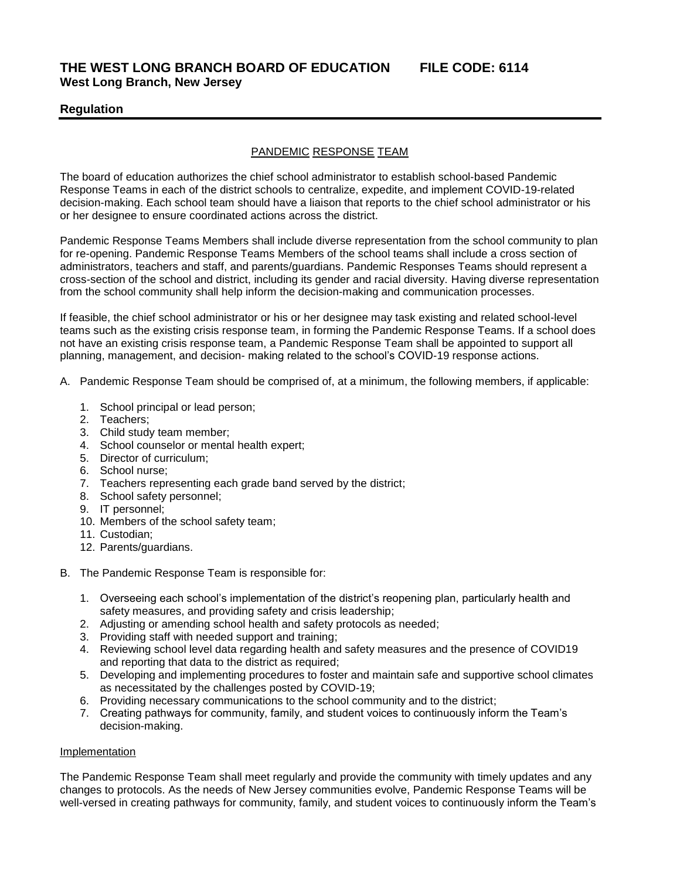# **Regulation**

## PANDEMIC RESPONSE TEAM

The board of education authorizes the chief school administrator to establish school-based Pandemic Response Teams in each of the district schools to centralize, expedite, and implement COVID-19-related decision-making. Each school team should have a liaison that reports to the chief school administrator or his or her designee to ensure coordinated actions across the district.

Pandemic Response Teams Members shall include diverse representation from the school community to plan for re-opening. Pandemic Response Teams Members of the school teams shall include a cross section of administrators, teachers and staff, and parents/guardians. Pandemic Responses Teams should represent a cross-section of the school and district, including its gender and racial diversity. Having diverse representation from the school community shall help inform the decision-making and communication processes.

If feasible, the chief school administrator or his or her designee may task existing and related school-level teams such as the existing crisis response team, in forming the Pandemic Response Teams. If a school does not have an existing crisis response team, a Pandemic Response Team shall be appointed to support all planning, management, and decision- making related to the school's COVID-19 response actions.

- A. Pandemic Response Team should be comprised of, at a minimum, the following members, if applicable:
	- 1. School principal or lead person;
	- 2. Teachers;
	- 3. Child study team member;
	- 4. School counselor or mental health expert;
	- 5. Director of curriculum;
	- 6. School nurse;
	- 7. Teachers representing each grade band served by the district;
	- 8. School safety personnel;
	- 9. IT personnel;
	- 10. Members of the school safety team;
	- 11. Custodian;
	- 12. Parents/guardians.
- B. The Pandemic Response Team is responsible for:
	- 1. Overseeing each school's implementation of the district's reopening plan, particularly health and safety measures, and providing safety and crisis leadership;
	- 2. Adjusting or amending school health and safety protocols as needed;
	- 3. Providing staff with needed support and training;
	- 4. Reviewing school level data regarding health and safety measures and the presence of COVID19 and reporting that data to the district as required;
	- 5. Developing and implementing procedures to foster and maintain safe and supportive school climates as necessitated by the challenges posted by COVID-19;
	- 6. Providing necessary communications to the school community and to the district;
	- 7. Creating pathways for community, family, and student voices to continuously inform the Team's decision-making.

### Implementation

The Pandemic Response Team shall meet regularly and provide the community with timely updates and any changes to protocols. As the needs of New Jersey communities evolve, Pandemic Response Teams will be well-versed in creating pathways for community, family, and student voices to continuously inform the Team's